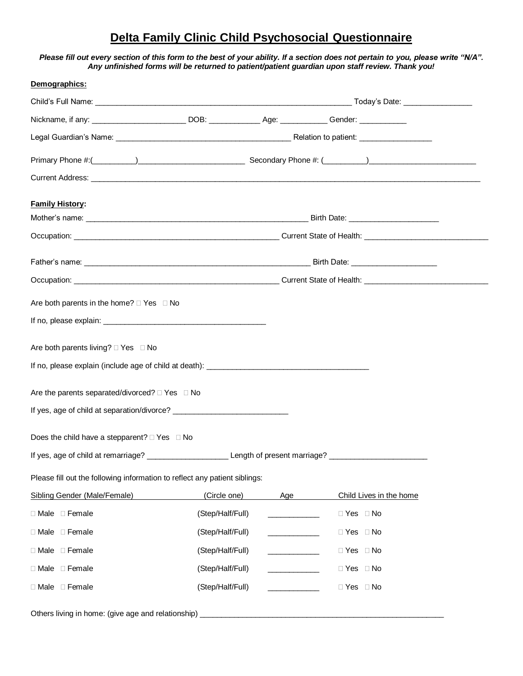# **Delta Family Clinic Child Psychosocial Questionnaire**

### *Please fill out every section of this form to the best of your ability. If a section does not pertain to you, please write "N/A". Any unfinished forms will be returned to patient/patient guardian upon staff review. Thank you!*

| Demographics:                                                                                        |                  |     |                         |
|------------------------------------------------------------------------------------------------------|------------------|-----|-------------------------|
|                                                                                                      |                  |     |                         |
| Nickname, if any: ____________________________DOB: _____________________________Gender: ____________ |                  |     |                         |
|                                                                                                      |                  |     |                         |
|                                                                                                      |                  |     |                         |
|                                                                                                      |                  |     |                         |
| <b>Family History:</b>                                                                               |                  |     |                         |
|                                                                                                      |                  |     |                         |
|                                                                                                      |                  |     |                         |
|                                                                                                      |                  |     |                         |
| Occupation: Current State of Health: Current State of Health:                                        |                  |     |                         |
|                                                                                                      |                  |     |                         |
| Are both parents in the home? $\Box$ Yes $\Box$ No                                                   |                  |     |                         |
|                                                                                                      |                  |     |                         |
| Are both parents living? □ Yes □ No                                                                  |                  |     |                         |
|                                                                                                      |                  |     |                         |
|                                                                                                      |                  |     |                         |
| Are the parents separated/divorced? $\Box$ Yes $\Box$ No                                             |                  |     |                         |
|                                                                                                      |                  |     |                         |
| Does the child have a stepparent? $\Box$ Yes $\Box$ No                                               |                  |     |                         |
| If yes, age of child at remarriage? Lease Length of present marriage? Lease of child at remarriage?  |                  |     |                         |
| Please fill out the following information to reflect any patient siblings:                           |                  |     |                         |
| Sibling Gender (Male/Female)                                                                         | (Circle one)     | Age | Child Lives in the home |
| □ Male □ Female                                                                                      | (Step/Half/Full) |     | $\Box$ Yes $\Box$ No    |
| □ Male □ Female                                                                                      | (Step/Half/Full) |     | $\Box$ Yes $\Box$ No    |
| $\Box$ Male $\Box$ Female                                                                            | (Step/Half/Full) |     | $\Box$ Yes $\Box$ No    |
|                                                                                                      |                  |     |                         |
| $\Box$ Male $\Box$ Female                                                                            | (Step/Half/Full) |     | $\Box$ Yes $\Box$ No    |
| □ Male □ Female                                                                                      | (Step/Half/Full) |     | $\Box$ Yes $\Box$ No    |
| Others living in home: (give age and relationship)                                                   |                  |     |                         |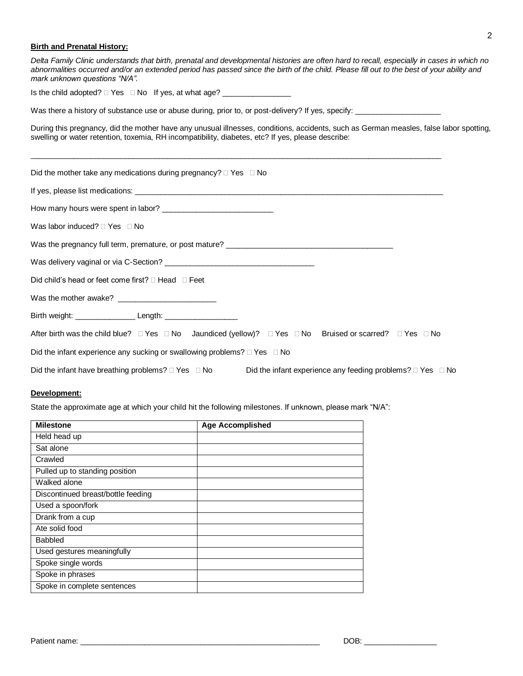## 2

## **Birth and Prenatal History:**

| Delta Family Clinic understands that birth, prenatal and developmental histories are often hard to recall, especially in cases in which no<br>abnormalities occurred and/or an extended period has passed since the birth of the child. Please fill out to the best of your ability and<br>mark unknown questions "N/A". |  |  |  |
|--------------------------------------------------------------------------------------------------------------------------------------------------------------------------------------------------------------------------------------------------------------------------------------------------------------------------|--|--|--|
| Is the child adopted? □ Yes □ No If yes, at what age? __________________________                                                                                                                                                                                                                                         |  |  |  |
| Was there a history of substance use or abuse during, prior to, or post-delivery? If yes, specify:                                                                                                                                                                                                                       |  |  |  |
| During this pregnancy, did the mother have any unusual illnesses, conditions, accidents, such as German measles, false labor spotting,<br>swelling or water retention, toxemia, RH incompatibility, diabetes, etc? If yes, please describe:                                                                              |  |  |  |
| Did the mother take any medications during pregnancy? $\Box$ Yes $\Box$ No                                                                                                                                                                                                                                               |  |  |  |
|                                                                                                                                                                                                                                                                                                                          |  |  |  |
|                                                                                                                                                                                                                                                                                                                          |  |  |  |
| Was labor induced? $\Box$ Yes $\Box$ No                                                                                                                                                                                                                                                                                  |  |  |  |
|                                                                                                                                                                                                                                                                                                                          |  |  |  |
|                                                                                                                                                                                                                                                                                                                          |  |  |  |
| Did child's head or feet come first? $\Box$ Head $\Box$ Feet                                                                                                                                                                                                                                                             |  |  |  |
|                                                                                                                                                                                                                                                                                                                          |  |  |  |
|                                                                                                                                                                                                                                                                                                                          |  |  |  |
| After birth was the child blue? $\Box$ Yes $\Box$ No Jaundiced (yellow)? $\Box$ Yes $\Box$ No Bruised or scarred? $\Box$ Yes $\Box$ No                                                                                                                                                                                   |  |  |  |
| Did the infant experience any sucking or swallowing problems? $\Box$ Yes $\Box$ No                                                                                                                                                                                                                                       |  |  |  |
| Did the infant have breathing problems? $\Box$ Yes $\Box$ No<br>Did the infant experience any feeding problems? $\Box$ Yes $\Box$ No                                                                                                                                                                                     |  |  |  |

#### **Development:**

State the approximate age at which your child hit the following milestones. If unknown, please mark "N/A":

| <b>Milestone</b>                   | <b>Age Accomplished</b> |
|------------------------------------|-------------------------|
| Held head up                       |                         |
| Sat alone                          |                         |
| Crawled                            |                         |
| Pulled up to standing position     |                         |
| Walked alone                       |                         |
| Discontinued breast/bottle feeding |                         |
| Used a spoon/fork                  |                         |
| Drank from a cup                   |                         |
| Ate solid food                     |                         |
| <b>Babbled</b>                     |                         |
| Used gestures meaningfully         |                         |
| Spoke single words                 |                         |
| Spoke in phrases                   |                         |
| Spoke in complete sentences        |                         |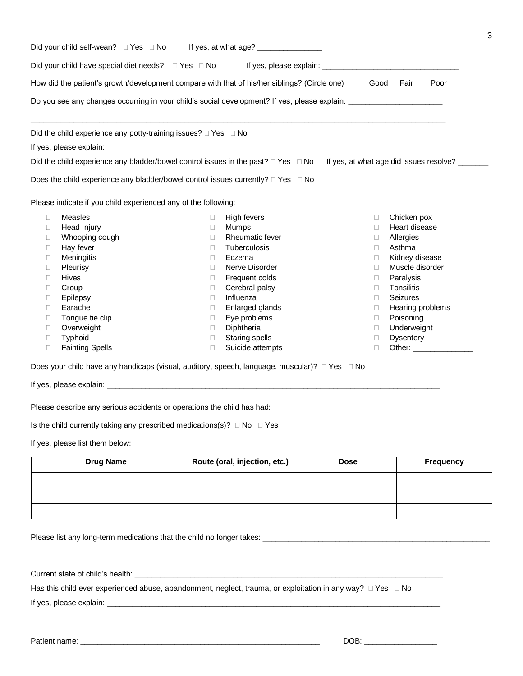| Did your child self-wean? □ Yes □ No If yes, at what age? ________________                                                       |        |                                    |        |                            |
|----------------------------------------------------------------------------------------------------------------------------------|--------|------------------------------------|--------|----------------------------|
| Did your child have special diet needs? □ Yes □ No If yes, please explain: ________________________                              |        |                                    |        |                            |
| How did the patient's growth/development compare with that of his/her siblings? (Circle one)                                     |        |                                    | Good   | Fair<br>Poor               |
| Do you see any changes occurring in your child's social development? If yes, please explain: _________________                   |        |                                    |        |                            |
| Did the child experience any potty-training issues? $\Box$ Yes $\Box$ No                                                         |        |                                    |        |                            |
|                                                                                                                                  |        |                                    |        |                            |
| Did the child experience any bladder/bowel control issues in the past? □ Yes □ No If yes, at what age did issues resolve? ______ |        |                                    |        |                            |
|                                                                                                                                  |        |                                    |        |                            |
| Does the child experience any bladder/bowel control issues currently? □ Yes □ No                                                 |        |                                    |        |                            |
| Please indicate if you child experienced any of the following:                                                                   |        |                                    |        |                            |
| <b>Measles</b><br>П                                                                                                              | $\Box$ | High fevers                        | □      | Chicken pox                |
| Head Injury<br>$\Box$                                                                                                            | $\Box$ | Mumps                              | □      | Heart disease              |
| Whooping cough<br>u                                                                                                              | $\Box$ | Rheumatic fever                    | □      | Allergies                  |
|                                                                                                                                  |        |                                    |        |                            |
| Hay fever<br>O.                                                                                                                  | $\Box$ | <b>Tuberculosis</b>                | $\Box$ | Asthma                     |
| Meningitis<br>$\Box$                                                                                                             | $\Box$ | Eczema                             | $\Box$ | Kidney disease             |
| <b>Pleurisy</b><br>O.                                                                                                            | $\Box$ | Nerve Disorder                     | □      | Muscle disorder            |
| <b>Hives</b><br>$\Box$                                                                                                           | $\Box$ | Frequent colds                     | $\Box$ | Paralysis                  |
| Croup<br>O.                                                                                                                      | $\Box$ | Cerebral palsy                     | п      | Tonsilitis                 |
| Epilepsy<br>O.                                                                                                                   | $\Box$ | Influenza                          | $\Box$ | Seizures                   |
| Earache<br>П                                                                                                                     | $\Box$ | Enlarged glands                    | $\Box$ | Hearing problems           |
| Tongue tie clip<br>$\Box$                                                                                                        | $\Box$ | Eye problems                       | 0      | Poisoning                  |
| Overweight<br>u                                                                                                                  | $\Box$ | Diphtheria                         | 0      | Underweight                |
| Typhoid<br>$\Box$<br><b>Fainting Spells</b>                                                                                      | $\Box$ | Staring spells<br>Suicide attempts | $\Box$ | <b>Dysentery</b><br>Other: |

Does your child have any handicaps (visual, auditory, speech, language, muscular)?  $\Box$  Yes  $\Box$  No

If yes, please explain: \_\_\_\_\_\_\_\_\_\_\_\_\_\_\_\_\_\_\_\_\_\_\_\_\_\_\_\_\_\_\_\_\_\_\_\_\_\_\_\_\_\_\_\_\_\_\_\_\_\_\_\_\_\_\_\_\_\_\_\_\_\_\_\_\_\_\_\_\_\_\_\_\_\_\_\_\_\_

Please describe any serious accidents or operations the child has had: \_\_\_\_\_\_\_\_\_\_\_\_\_\_\_\_\_\_\_\_\_\_\_\_\_\_\_\_\_\_\_\_\_\_\_\_\_\_\_\_\_\_\_\_\_\_\_\_\_

Is the child currently taking any prescribed medications(s)?  $\Box$  No  $\Box$  Yes

If yes, please list them below:

| <b>Drug Name</b> | Route (oral, injection, etc.) | <b>Dose</b> | <b>Frequency</b> |
|------------------|-------------------------------|-------------|------------------|
|                  |                               |             |                  |
|                  |                               |             |                  |
|                  |                               |             |                  |

Please list any long-term medications that the child no longer takes: \_\_\_\_\_\_\_\_\_\_\_\_\_\_\_\_\_\_\_\_\_\_\_\_\_\_\_\_\_\_\_\_\_\_\_\_\_\_\_\_\_\_\_\_\_\_\_\_\_\_\_\_\_

Current state of child's health:

Has this child ever experienced abuse, abandonment, neglect, trauma, or exploitation in any way?  $\Box$  Yes  $\Box$  No

If yes, please explain: \_\_

Patient name: \_\_\_\_\_\_\_\_\_\_\_\_\_\_\_\_\_\_\_\_\_\_\_\_\_\_\_\_\_\_\_\_\_\_\_\_\_\_\_\_\_\_\_\_\_\_\_\_\_\_\_\_\_\_\_\_ DOB: \_\_\_\_\_\_\_\_\_\_\_\_\_\_\_\_\_

3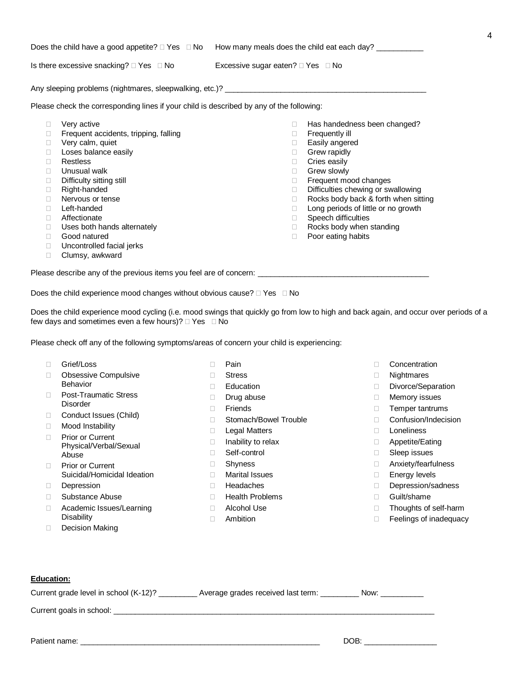| Is there excessive snacking? $\Box$ Yes $\Box$ No                                                                                                                                                                                                                                                                                                                 | Excessive sugar eaten? $\Box$ Yes $\Box$ No                                                                                                                                                                                                                                                                                                                                                                                          |  |  |  |
|-------------------------------------------------------------------------------------------------------------------------------------------------------------------------------------------------------------------------------------------------------------------------------------------------------------------------------------------------------------------|--------------------------------------------------------------------------------------------------------------------------------------------------------------------------------------------------------------------------------------------------------------------------------------------------------------------------------------------------------------------------------------------------------------------------------------|--|--|--|
|                                                                                                                                                                                                                                                                                                                                                                   |                                                                                                                                                                                                                                                                                                                                                                                                                                      |  |  |  |
| Please check the corresponding lines if your child is described by any of the following:                                                                                                                                                                                                                                                                          |                                                                                                                                                                                                                                                                                                                                                                                                                                      |  |  |  |
| Very active<br>$\Box$<br>Frequent accidents, tripping, falling<br>$\Box$<br>Very calm, quiet<br>$\Box$<br>Loses balance easily<br>$\Box$<br>Restless<br>$\Box$<br>Unusual walk<br>$\Box$<br>Difficulty sitting still<br>П.<br>Right-handed<br>$\Box$<br>Nervous or tense<br>П<br>Left-handed<br>$\Box$<br>Affectionate<br>П.<br>Uses both hands alternately<br>П. | Has handedness been changed?<br>$\Box$<br>Frequently ill<br>$\Box$<br>Easily angered<br>$\Box$<br>Grew rapidly<br>$\Box$<br>Cries easily<br>$\Box$<br>Grew slowly<br>$\Box$<br>Frequent mood changes<br>$\Box$<br>Difficulties chewing or swallowing<br>$\Box$<br>Rocks body back & forth when sitting<br>$\Box$<br>Long periods of little or no growth<br>$\Box$<br>Speech difficulties<br>$\Box$<br>Rocks body when standing<br>П. |  |  |  |
| Poor eating habits<br>Good natured<br>$\Box$<br>П.<br>Uncontrolled facial jerks<br>$\Box$<br>Clumsy, awkward<br>$\Box$<br>Please describe any of the previous items you feel are of concern: _________________________________                                                                                                                                    |                                                                                                                                                                                                                                                                                                                                                                                                                                      |  |  |  |

Does the child experience mood changes without obvious cause?  $\Box$  Yes  $\Box$  No

Does the child experience mood cycling (i.e. mood swings that quickly go from low to high and back again, and occur over periods of a few days and sometimes even a few hours)?  $\Box$  Yes  $\Box$  No

Please check off any of the following symptoms/areas of concern your child is experiencing:

|        | Grief/Loss                                        | П | Pain                   |
|--------|---------------------------------------------------|---|------------------------|
|        | <b>Obsessive Compulsive</b>                       |   | <b>Stress</b>          |
|        | Behavior                                          | П | Education              |
|        | <b>Post-Traumatic Stress</b>                      | П | Drug abuse             |
|        | Disorder                                          | П | Friends                |
| $\Box$ | Conduct Issues (Child)                            |   | Stomach/Bowel Trouble  |
|        | Mood Instability                                  | П | Legal Matters          |
|        | <b>Prior or Current</b><br>Physical/Verbal/Sexual | П | Inability to relax     |
|        | Abuse                                             |   | Self-control           |
| П      | <b>Prior or Current</b>                           | П | Shyness                |
|        | Suicidal/Homicidal Ideation                       | П | <b>Marital Issues</b>  |
|        | Depression                                        | П | Headaches              |
|        | Substance Abuse                                   | П | <b>Health Problems</b> |
|        | Academic Issues/Learning                          | П | Alcohol Use            |
|        | Disability                                        | П | Ambition               |
|        | Decision Making                                   |   |                        |
|        |                                                   |   |                        |

- Concentration
- Nightmares
- Divorce/Separation

4

- Memory issues
- Temper tantrums
- Confusion/Indecision
- Loneliness
- □ Appetite/Eating
- □ Sleep issues
- Anxiety/fearfulness
- □ Energy levels
- Depression/sadness
- Guilt/shame
- □ Thoughts of self-harm
- □ Feelings of inadequacy

#### **Education:**

| Current grade level in school (K-12)? ________<br>Average grades received last term: ________ | Now: |
|-----------------------------------------------------------------------------------------------|------|
|                                                                                               |      |
|                                                                                               |      |
| Patient name:                                                                                 | DOB: |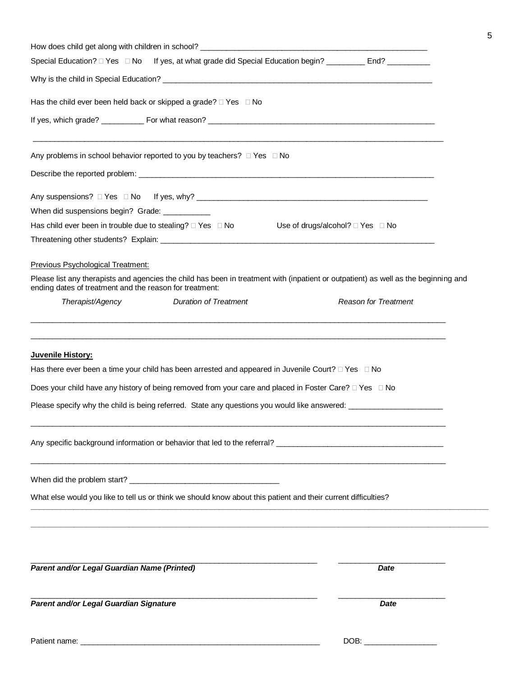| Parent and/or Legal Guardian Signature                                                                                                                                                                | Date                        |  |  |  |  |  |  |
|-------------------------------------------------------------------------------------------------------------------------------------------------------------------------------------------------------|-----------------------------|--|--|--|--|--|--|
| Parent and/or Legal Guardian Name (Printed)                                                                                                                                                           | Date                        |  |  |  |  |  |  |
| What else would you like to tell us or think we should know about this patient and their current difficulties?                                                                                        |                             |  |  |  |  |  |  |
|                                                                                                                                                                                                       |                             |  |  |  |  |  |  |
| Please specify why the child is being referred. State any questions you would like answered:                                                                                                          |                             |  |  |  |  |  |  |
| Does your child have any history of being removed from your care and placed in Foster Care? □ Yes □ No                                                                                                |                             |  |  |  |  |  |  |
| Has there ever been a time your child has been arrested and appeared in Juvenile Court? $\Box$ Yes $\Box$ No                                                                                          |                             |  |  |  |  |  |  |
| Juvenile History:                                                                                                                                                                                     |                             |  |  |  |  |  |  |
| <b>Duration of Treatment</b><br>Therapist/Agency                                                                                                                                                      | <b>Reason for Treatment</b> |  |  |  |  |  |  |
| Please list any therapists and agencies the child has been in treatment with (inpatient or outpatient) as well as the beginning and<br>ending dates of treatment and the reason for treatment:        |                             |  |  |  |  |  |  |
| Previous Psychological Treatment:                                                                                                                                                                     |                             |  |  |  |  |  |  |
|                                                                                                                                                                                                       |                             |  |  |  |  |  |  |
| Has child ever been in trouble due to stealing? □ Yes □ No Use of drugs/alcohol? □ Yes □ No                                                                                                           |                             |  |  |  |  |  |  |
| When did suspensions begin? Grade: ____________                                                                                                                                                       |                             |  |  |  |  |  |  |
|                                                                                                                                                                                                       |                             |  |  |  |  |  |  |
| Any problems in school behavior reported to you by teachers? $\Box$ Yes $\Box$ No                                                                                                                     |                             |  |  |  |  |  |  |
|                                                                                                                                                                                                       |                             |  |  |  |  |  |  |
| Special Education? $\square$ Yes $\square$ No If yes, at what grade did Special Education begin?  _______ End? ________<br>Has the child ever been held back or skipped a grade? $\Box$ Yes $\Box$ No |                             |  |  |  |  |  |  |
|                                                                                                                                                                                                       |                             |  |  |  |  |  |  |

 $DOB:$ 

|  | Patient name: |  |
|--|---------------|--|
|--|---------------|--|